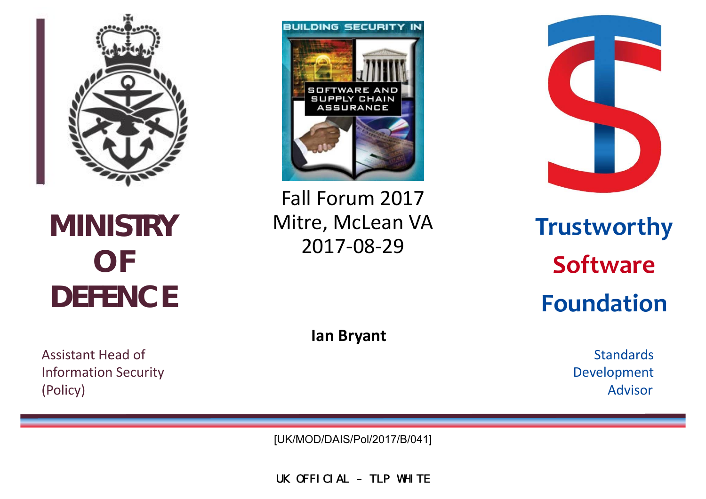

**MINISTRY OF DEFENCE** 

Assistant Head**Information Security** (Policy) Advisor

**BUILDING SECURITY IN** SOFTWARE AND **SUPPLY CHAIN** ASSURANCE

Fall Forum 2017 Mitre, McLean VA **Trustworthy** 2017-08-29



**Software Foundation**

**Ian Bryant**

Standards Development

[UK/MOD/DAIS/Pol/2017/B/041]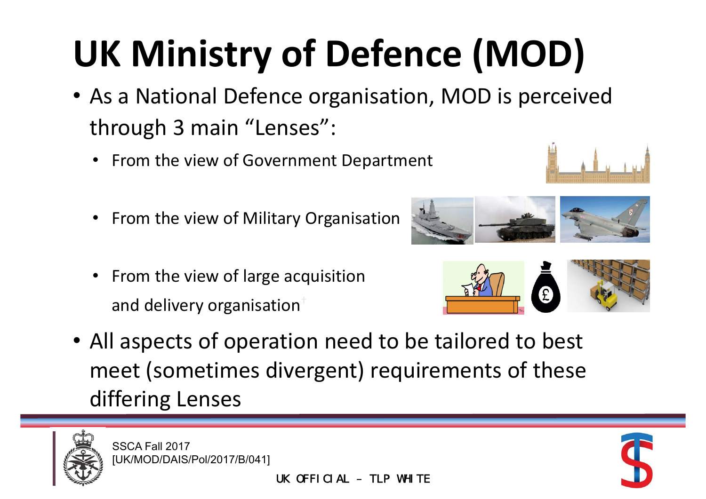# **UK Ministry of Defence (MOD)**

- As a National Defence organisation, MOD is perceived through 3 main "Lenses":
	- •• From the view of Government Department
	- $\bullet$ • From the view of Military Organisation
	- From the view of large acquisition and delivery organisation $^\dagger$











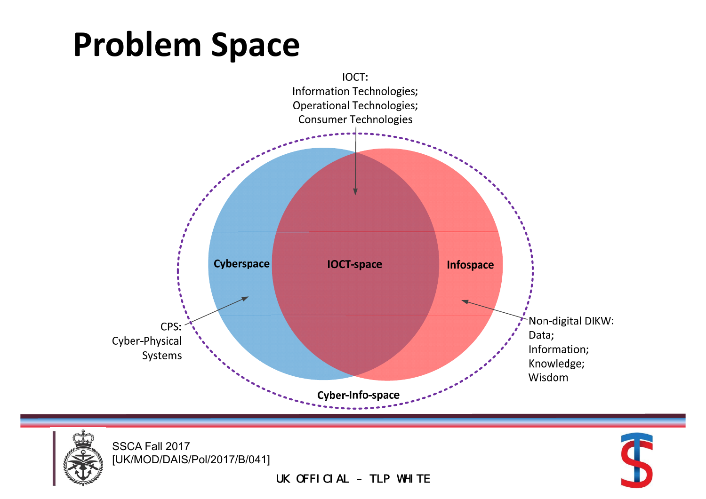#### **Problem Space**





SSCA Fall 2017 [UK/MOD/DAIS/Pol/2017/B/041] S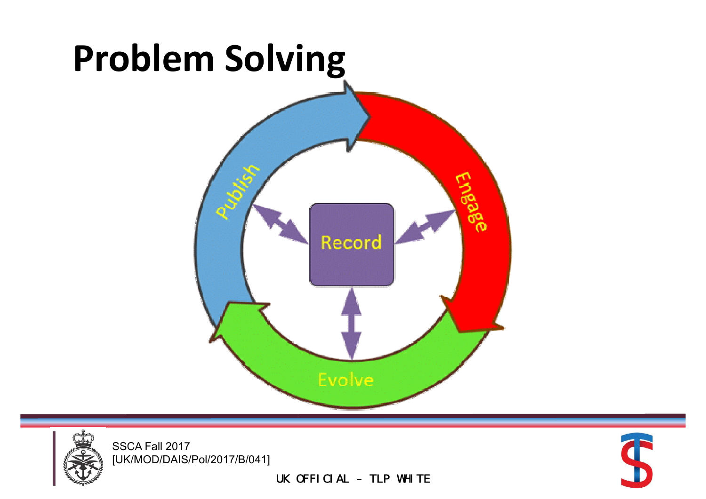



SSCA Fall 2017 [UK/MOD/DAIS/Pol/2017/B/041]

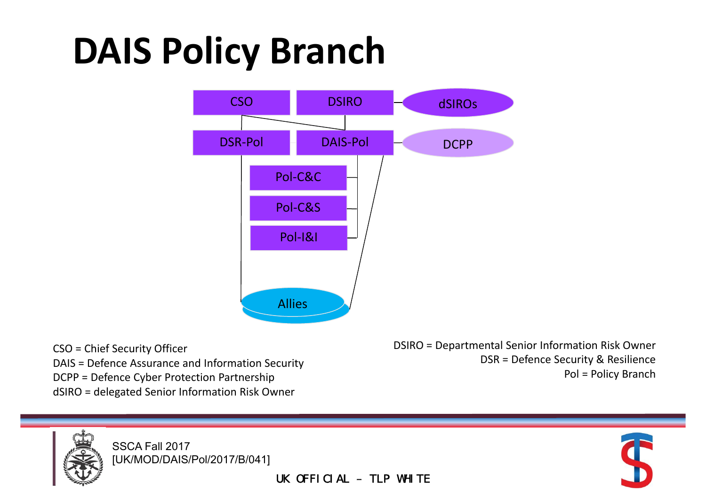## **DAIS Policy Branch**



CSO = Chief Security Officer DCPP = Defence Cyber Protection Partnership example of the state of the policy Branch = Policy Branch = Policy Branch dSIRO <sup>=</sup> delegated Senior Information Risk Owner

CSO = Chief Security Officer CSO = DEPARD = DEPARD = Departmental Senior Information Risk Owner DAIS = Defence Assurance and Information Security et al. (2003) EXAL EXAMPLE DEFENCE Security & Resilience



SSCA Fall 2017 [UK/MOD/DAIS/Pol/2017/B/041]

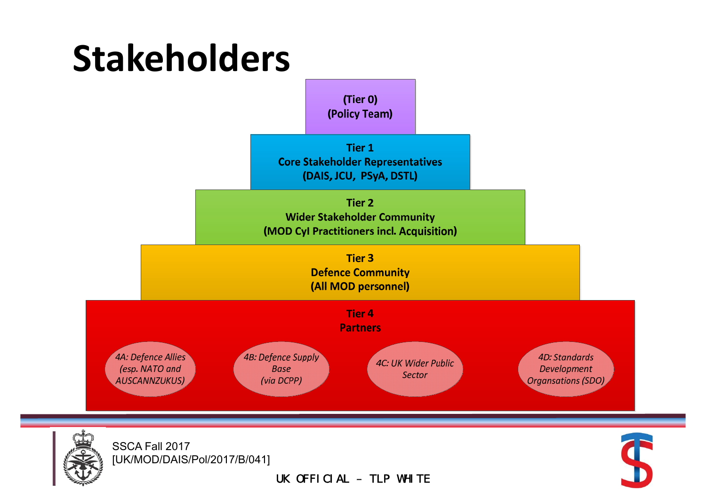



SSCA Fall 2017 [UK/MOD/DAIS/Pol/2017/B/041]

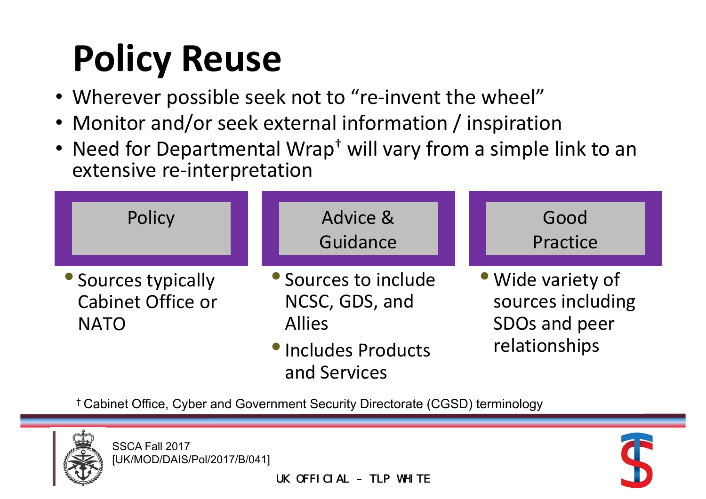# **Policy Reuse**

- Wherever possible seek not to "re-invent the wheel"
- Monitor and/or seek external information / inspiration
- Need for Departmental Wrap<sup>+</sup> will vary from a simple link to an extensive re‐interpretation

| Policy                                                         | Advice &<br>Guidance                                                                                  | Good<br>Practice                                                         |  |
|----------------------------------------------------------------|-------------------------------------------------------------------------------------------------------|--------------------------------------------------------------------------|--|
| • Sources typically<br><b>Cabinet Office or</b><br><b>NATO</b> | • Sources to include<br>NCSC, GDS, and<br><b>Allies</b><br><b>• Includes Products</b><br>and Services | • Wide variety of<br>sources including<br>SDOs and peer<br>relationships |  |

† Cabinet Office, Cyber and Government Security Directorate (CGSD) terminology



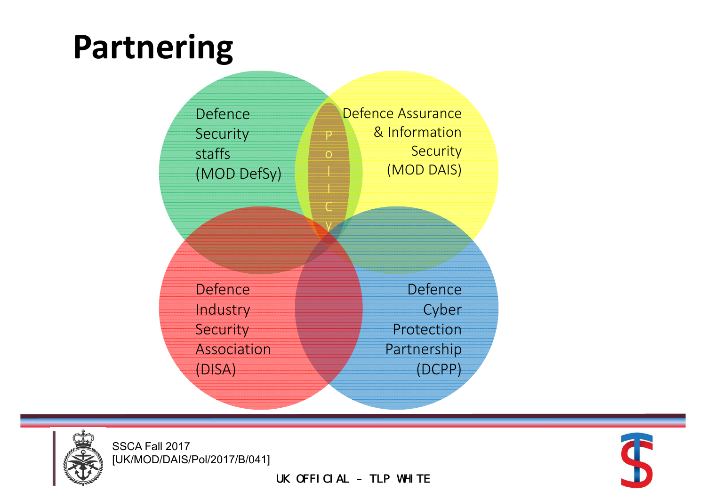#### **Partnering**





SSCA Fall 2017 [UK/MOD/DAIS/Pol/2017/B/041]

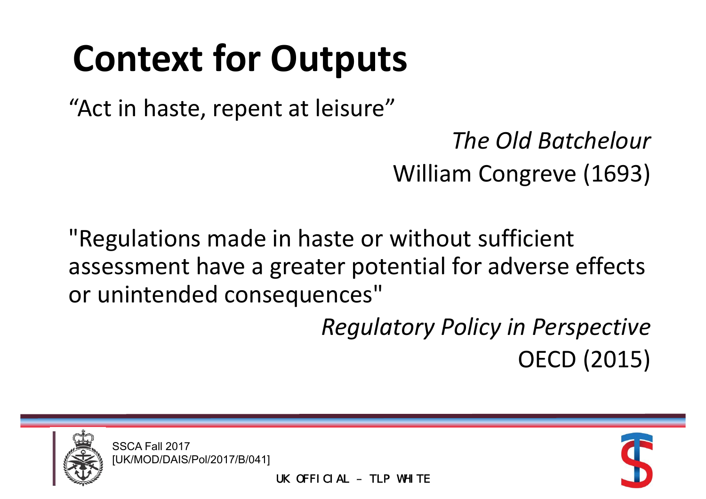# **Context for Outputs**

"Act in haste, repent at leisure"

*The Old Batchelour* William Congreve (1693)

"Regulations made in haste or without sufficient assessment have <sup>a</sup> greater potential for adverse effects or unintended consequences"

> *Regulatory Policy in Perspective* OECD (2015)



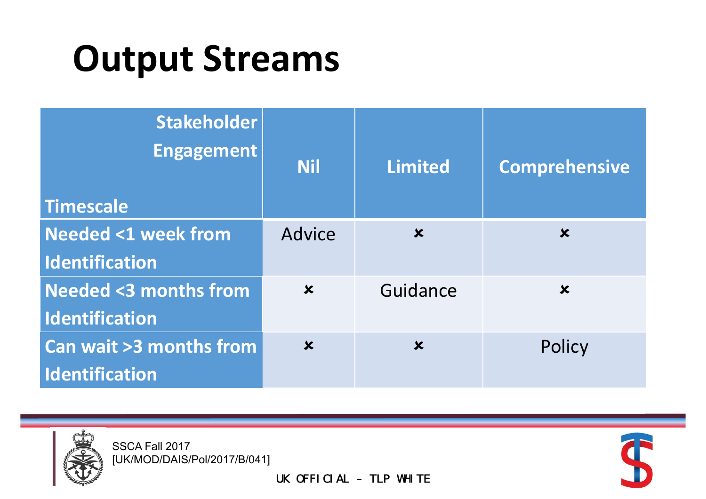### **Output Streams**

| <b>Stakeholder</b><br><b>Engagement</b><br>Timescale | <b>Nil</b>                | <b>Limited</b>            | <b>Comprehensive</b>      |
|------------------------------------------------------|---------------------------|---------------------------|---------------------------|
| <b>Needed &lt;1 week from</b>                        | <b>Advice</b>             | $\boldsymbol{\mathsf{x}}$ | $\boldsymbol{\mathsf{x}}$ |
| Identification                                       |                           |                           |                           |
| <b>Needed &lt;3 months from</b>                      | $\boldsymbol{\mathsf{x}}$ | Guidance                  | $\boldsymbol{\mathsf{x}}$ |
| <b>Identification</b>                                |                           |                           |                           |
| Can wait >3 months from                              | $\overline{\mathbf{x}}$   | $\boldsymbol{\mathsf{x}}$ | Policy                    |
| <b>Identification</b>                                |                           |                           |                           |



SSCA Fall 2017 [UK/MOD/DAIS/Pol/2017/B/041]

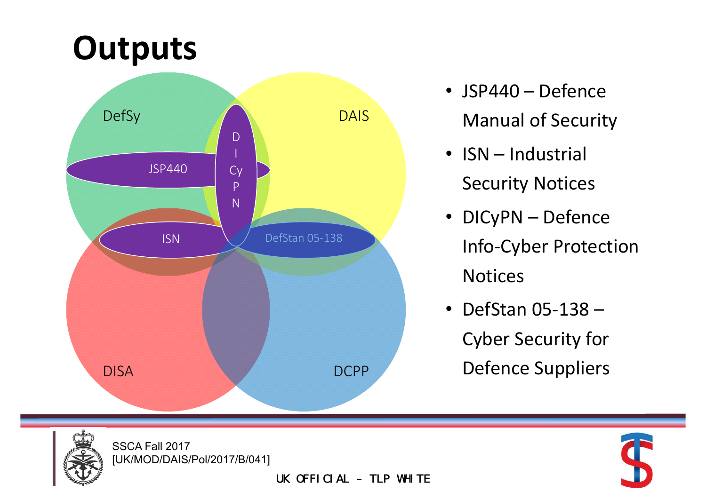#### **Outputs**



- JSP440 Defence Manual of Security
- ISN Industrial Security Notices
- DICyPN Defence Info‐Cyber Protection Notices
- DefStan 05‐138 Cyber Security for Defence Suppliers



SSCA Fall 2017 [UK/MOD/DAIS/Pol/2017/B/041]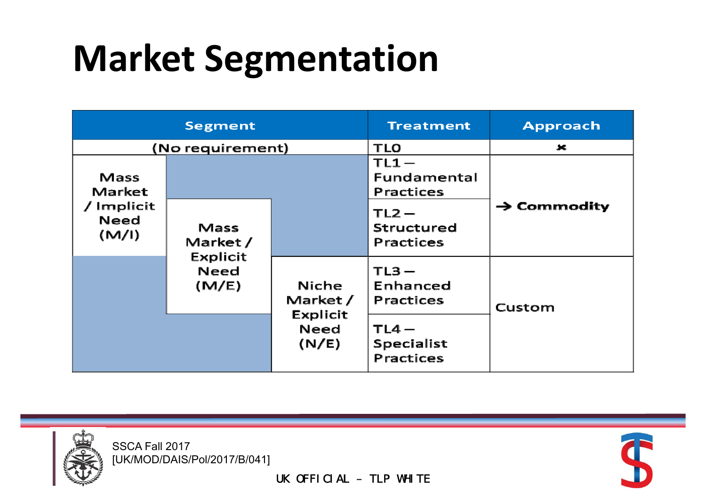## **Market Segmentation**

| <b>Segment</b>              |                                              | <b>Treatment</b>                     | <b>Approach</b>                     |                         |
|-----------------------------|----------------------------------------------|--------------------------------------|-------------------------------------|-------------------------|
| (No requirement)            |                                              | <b>TLO</b>                           | 乂                                   |                         |
| Mass<br>Market              |                                              |                                      | $TL1 -$<br>Fundamental<br>Practices |                         |
| / Implicit<br>Need<br>(M/I) | Mass<br>Market/<br>Explicit<br>Need<br>(M/E) |                                      | $TL2 -$<br>Structured<br>Practices  | $\rightarrow$ Commodity |
|                             |                                              | <b>Niche</b><br>Market /<br>Explicit | $TL3 -$<br>Enhanced<br>Practices    | Custom                  |
|                             |                                              | <b>Need</b><br>(N/E)                 | $TL4-$<br>Specialist<br>Practices   |                         |



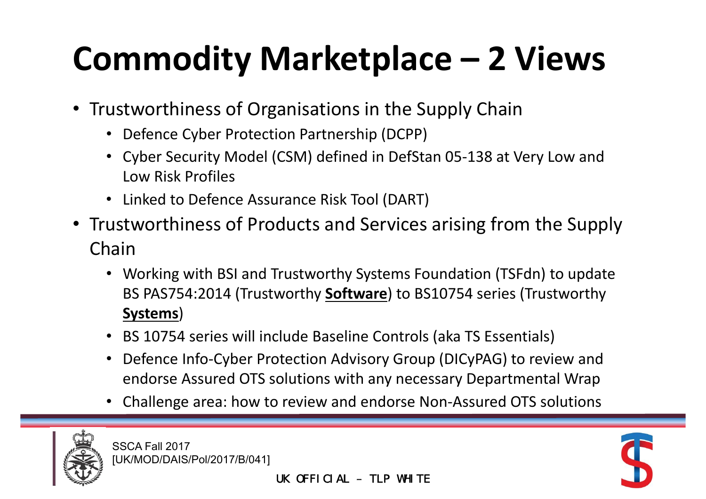### **Commodity Marketplace – 2 Views**

- Trustworthiness of Organisations in the Supply Chain
	- Defence Cyber Protection Partnership (DCPP)
	- Cyber Security Model (CSM) defined in DefStan 05‐138 at Very Low and Low Risk Profiles
	- Linked to Defence Assurance Risk Tool (DART)
- Trustworthiness of Products and Services arising from the Supply Chain
	- Working with BSI and Trustworthy Systems Foundation (TSFdn) to update BS PAS754:2014 (Trustworthy **Software**) to BS10754 series (Trustworthy **Systems**)
	- BS 10754 series will include Baseline Controls (aka TS Essentials)
	- Defence Info‐Cyber Protection Advisory Group (DICyPAG) to review and endorse Assured OTS solutions with any necessary Departmental Wrap
	- Challenge area: how to review and endorse Non‐Assured OTS solutions



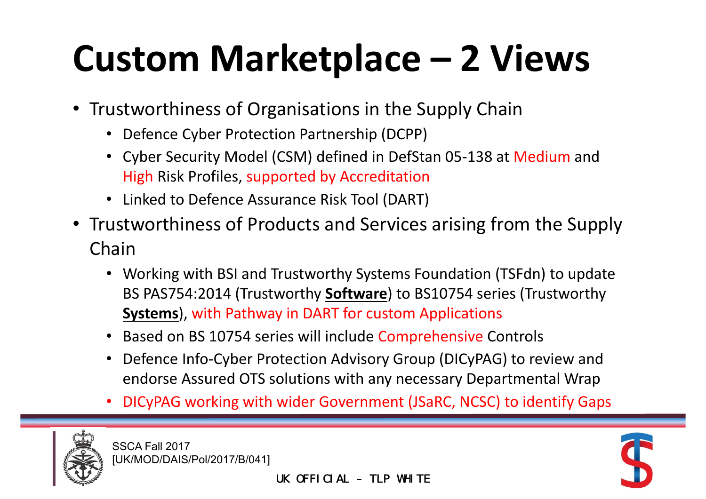# **Custom Marketplace – 2 Views**

- Trustworthiness of Organisations in the Supply Chain
	- Defence Cyber Protection Partnership (DCPP)
	- Cyber Security Model (CSM) defined in DefStan 05-138 at Medium and High Risk Profiles, supported by Accreditation
	- Linked to Defence Assurance Risk Tool (DART)
- Trustworthiness of Products and Services arising from the Supply Chain
	- Working with BSI and Trustworthy Systems Foundation (TSFdn) to update BS PAS754:2014 (Trustworthy **Software**) to BS10754 series (Trustworthy **Systems**), with Pathway in DART for custom Applications
	- Based on BS 10754 series will include Comprehensive Controls
	- Defence Info‐Cyber Protection Advisory Group (DICyPAG) to review and endorse Assured OTS solutions with any necessary Departmental Wrap
	- •DICyPAG working with wider Government (JSaRC, NCSC) to identify Gaps



SSCA Fall 2017 [UK/MOD/DAIS/Pol/2017/B/041]

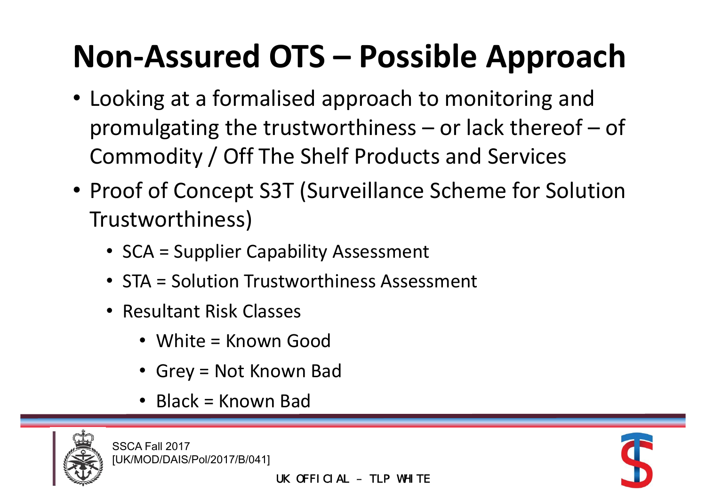#### **Non‐Assured OTS – Possible Approach**

- Looking at <sup>a</sup> formalised approach to monitoring and promulgating the trustworthiness – or lack thereof – of Commodity / Off The Shelf Products and Services
- Proof of Concept S3T (Surveillance Scheme for Solution Trustworthiness)
	- SCA <sup>=</sup> Supplier Capability Assessment
	- STA <sup>=</sup> Solution Trustworthiness Assessment
	- Resultant Risk Classes
		- White <sup>=</sup> Known Good
		- Grey <sup>=</sup> Not Known Bad
		- Black <sup>=</sup> Known Bad



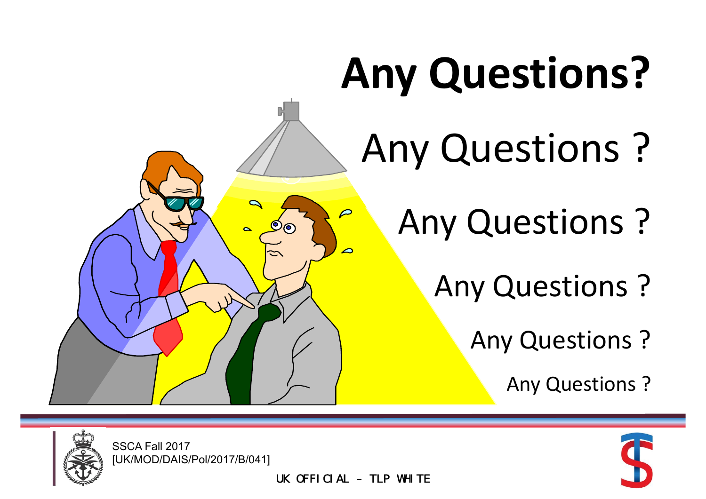# **Any Questions?**

- Any Questions ?
	- Any Questions ?
		- Any Questions ?
			- Any Questions ?
				- Any Questions ?





SSCA Fall 2017 [UK/MOD/DAIS/Pol/2017/B/041]